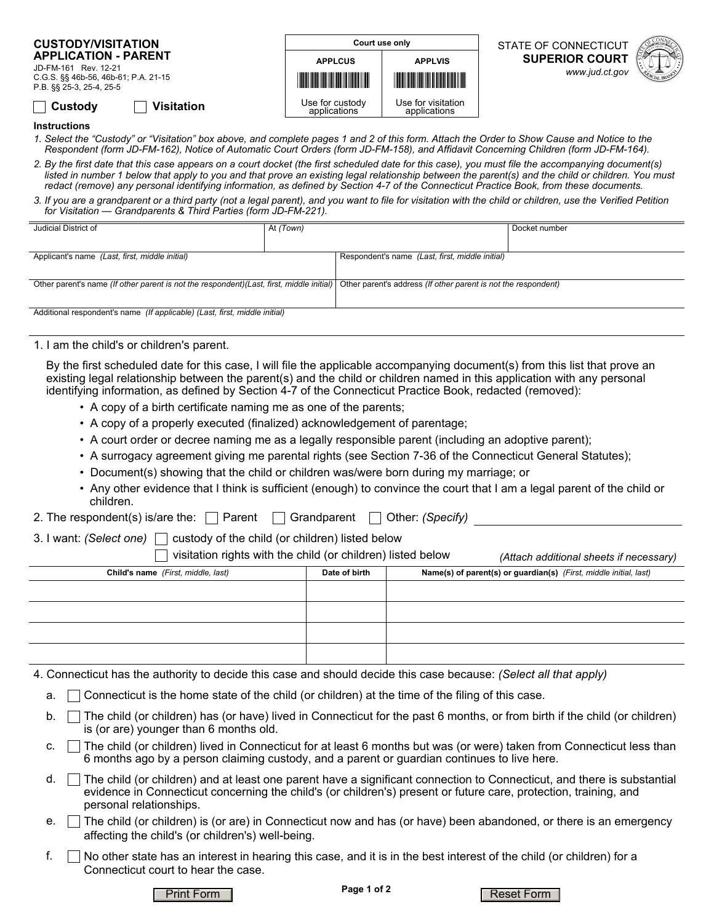| <b>CUSTODY/VISITATION</b>                                                                                                                                           |                                                                                                                       | Court use only                     | CONNE<br><b>STATE OF CONNECTICUT</b> |
|---------------------------------------------------------------------------------------------------------------------------------------------------------------------|-----------------------------------------------------------------------------------------------------------------------|------------------------------------|--------------------------------------|
| <b>APPLICATION - PARENT</b>                                                                                                                                         | <b>APPLCUS</b>                                                                                                        | <b>APPLVIS</b>                     | <b>SUPERIOR COURT</b>                |
| JD-FM-161 Rev. 12-21<br>C.G.S. §§ 46b-56, 46b-61; P.A. 21-15<br>P.B. §§ 25-3, 25-4, 25-5                                                                            | <u> Harry Harry Harry Harry Harry Harry Harry Harry Harry Harry Harry Harry Harry Harry Harry Harry Harry Harry H</u> | <u> Hillingan kanada kanada a</u>  | www.jud.ct.gov<br><b>DICIAL BRAN</b> |
| <b>Visitation</b><br>Custody                                                                                                                                        | Use for custody<br>applications                                                                                       | Use for visitation<br>applications |                                      |
| <b>Instructions</b><br>1. Soloot the "Custody" or "Visitation" hay above, and complete pages 1 and 2 of this form, Attach the Order to Show Cause and Notice to the |                                                                                                                       |                                    |                                      |

- *1. Select the "Custody" or "Visitation" box above, and complete pages 1 and 2 of this form. Attach the Order to Show Cause and Notice to the Respondent (form JD-FM-162), Notice of Automatic Court Orders (form JD-FM-158), and Affidavit Concerning Children (form JD-FM-164).*
- *2. By the first date that this case appears on a court docket (the first scheduled date for this case), you must file the accompanying document(s)*  listed in number 1 below that apply to you and that prove an existing legal relationship between the parent(s) and the child or children. You must *redact (remove) any personal identifying information, as defined by Section 4-7 of the Connecticut Practice Book, from these documents.*
- *3. If you are a grandparent or a third party (not a legal parent), and you want to file for visitation with the child or children, use the Verified Petition for Visitation — Grandparents & Third Parties (form JD-FM-221).*

| Judicial District of                                                                                                                                      | At <i>(Town)</i> |                                                 | . Docket number |  |
|-----------------------------------------------------------------------------------------------------------------------------------------------------------|------------------|-------------------------------------------------|-----------------|--|
|                                                                                                                                                           |                  |                                                 |                 |  |
| Applicant's name (Last, first, middle initial)                                                                                                            |                  | Respondent's name (Last, first, middle initial) |                 |  |
|                                                                                                                                                           |                  |                                                 |                 |  |
| Other parent's name (If other parent is not the respondent)(Last, first, middle initial)   Other parent's address (If other parent is not the respondent) |                  |                                                 |                 |  |
|                                                                                                                                                           |                  |                                                 |                 |  |
| Additional respondent's name (If applicable) (Last, first, middle initial)                                                                                |                  |                                                 |                 |  |

1. I am the child's or children's parent.

By the first scheduled date for this case, I will file the applicable accompanying document(s) from this list that prove an existing legal relationship between the parent(s) and the child or children named in this application with any personal identifying information, as defined by Section 4-7 of the Connecticut Practice Book, redacted (removed):

- A copy of a birth certificate naming me as one of the parents;
- A copy of a properly executed (finalized) acknowledgement of parentage;
- A court order or decree naming me as a legally responsible parent (including an adoptive parent);
- A surrogacy agreement giving me parental rights (see Section 7-36 of the Connecticut General Statutes);
- Document(s) showing that the child or children was/were born during my marriage; or
- Any other evidence that I think is sufficient (enough) to convince the court that I am a legal parent of the child or children.
- 2. The respondent(s) is/are the: Parent Grandparent Other: *(Specify)*
- 3. I want: *(Select one)* custody of the child (or children) listed below

 $\Box$  visitation rights with the child (or children) listed below

*(Attach additional sheets if necessary)*

| Child's name (First, middle, last) | Date of birth | Name(s) of parent(s) or guardian(s) (First, middle initial, last) |
|------------------------------------|---------------|-------------------------------------------------------------------|
|                                    |               |                                                                   |
|                                    |               |                                                                   |
|                                    |               |                                                                   |
|                                    |               |                                                                   |
|                                    |               |                                                                   |

- 4. Connecticut has the authority to decide this case and should decide this case because: *(Select all that apply)*
	- a.  $\Box$  Connecticut is the home state of the child (or children) at the time of the filing of this case.
	- b.  $\Box$  The child (or children) has (or have) lived in Connecticut for the past 6 months, or from birth if the child (or children) is (or are) younger than 6 months old.
	- c.  $\Box$  The child (or children) lived in Connecticut for at least 6 months but was (or were) taken from Connecticut less than 6 months ago by a person claiming custody, and a parent or guardian continues to live here.
	- d. The child (or children) and at least one parent have a significant connection to Connecticut, and there is substantial evidence in Connecticut concerning the child's (or children's) present or future care, protection, training, and personal relationships.
	- $\Box$  The child (or children) is (or are) in Connecticut now and has (or have) been abandoned, or there is an emergency affecting the child's (or children's) well-being. e.
	- No other state has an interest in hearing this case, and it is in the best interest of the child (or children) for a Connecticut court to hear the case. f.



Print Form Page 1 or 2 Reset Form